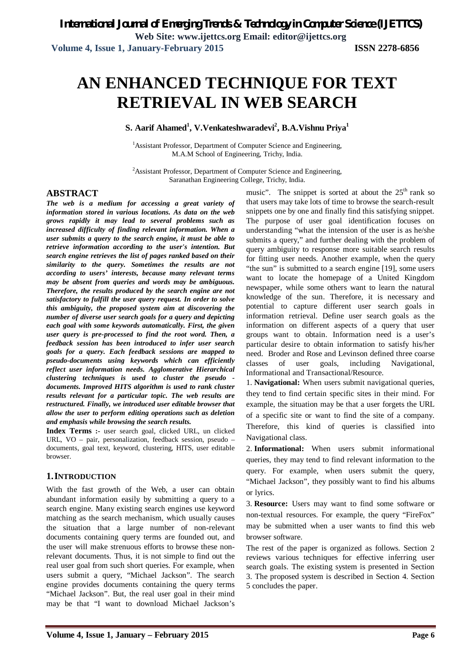# **AN ENHANCED TECHNIQUE FOR TEXT RETRIEVAL IN WEB SEARCH**

**S. Aarif Ahamed<sup>1</sup> , V.Venkateshwaradevi<sup>2</sup> , B.A.Vishnu Priya<sup>1</sup>**

<sup>1</sup>Assistant Professor, Department of Computer Science and Engineering, M.A.M School of Engineering, Trichy, India.

<sup>2</sup>Assistant Professor, Department of Computer Science and Engineering, Saranathan Engineering College, Trichy, India.

### **ABSTRACT**

*The web is a medium for accessing a great variety of information stored in various locations. As data on the web grows rapidly it may lead to several problems such as increased difficulty of finding relevant information. When a user submits a query to the search engine, it must be able to retrieve information according to the user's intention. But search engine retrieves the list of pages ranked based on their similarity to the query. Sometimes the results are not according to users' interests, because many relevant terms may be absent from queries and words may be ambiguous. Therefore, the results produced by the search engine are not satisfactory to fulfill the user query request. In order to solve this ambiguity, the proposed system aim at discovering the number of diverse user search goals for a query and depicting each goal with some keywords automatically. First, the given user query is pre-processed to find the root word. Then, a feedback session has been introduced to infer user search goals for a query. Each feedback sessions are mapped to pseudo-documents using keywords which can efficiently reflect user information needs. Agglomerative Hierarchical clustering techniques is used to cluster the pseudo documents. Improved HITS algorithm is used to rank cluster results relevant for a particular topic. The web results are restructured. Finally, we introduced user editable browser that allow the user to perform editing operations such as deletion and emphasis while browsing the search results.*

**Index Terms :-** user search goal, clicked URL, un clicked URL, VO – pair, personalization, feedback session, pseudo – documents, goal text, keyword, clustering, HITS, user editable browser.

### **1.INTRODUCTION**

With the fast growth of the Web, a user can obtain abundant information easily by submitting a query to a search engine. Many existing search engines use keyword matching as the search mechanism, which usually causes the situation that a large number of non-relevant documents containing query terms are founded out, and the user will make strenuous efforts to browse these nonrelevant documents. Thus, it is not simple to find out the real user goal from such short queries. For example, when users submit a query, "Michael Jackson". The search engine provides documents containing the query terms "Michael Jackson". But, the real user goal in their mind may be that "I want to download Michael Jackson's

music". The snippet is sorted at about the  $25<sup>th</sup>$  rank so that users may take lots of time to browse the search-result snippets one by one and finally find this satisfying snippet. The purpose of user goal identification focuses on understanding "what the intension of the user is as he/she submits a query," and further dealing with the problem of query ambiguity to response more suitable search results for fitting user needs. Another example, when the query "the sun" is submitted to a search engine [19], some users want to locate the homepage of a United Kingdom newspaper, while some others want to learn the natural knowledge of the sun. Therefore, it is necessary and potential to capture different user search goals in information retrieval. Define user search goals as the information on different aspects of a query that user groups want to obtain. Information need is a user's particular desire to obtain information to satisfy his/her need. Broder and Rose and Levinson defined three coarse classes of user goals, including Navigational, Informational and Transactional/Resource.

1. **Navigational:** When users submit navigational queries, they tend to find certain specific sites in their mind. For example, the situation may be that a user forgets the URL of a specific site or want to find the site of a company. Therefore, this kind of queries is classified into Navigational class.

2. **Informational:** When users submit informational queries, they may tend to find relevant information to the query. For example, when users submit the query, "Michael Jackson", they possibly want to find his albums or lyrics.

3. **Resource:** Users may want to find some software or non-textual resources. For example, the query "FireFox" may be submitted when a user wants to find this web browser software.

The rest of the paper is organized as follows. Section 2 reviews various techniques for effective inferring user search goals. The existing system is presented in Section 3. The proposed system is described in Section 4. Section 5 concludes the paper.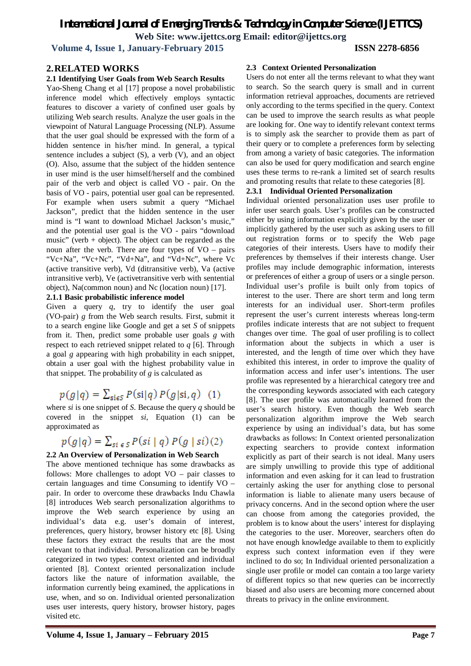**Volume 4, Issue 1, January-February 2015 ISSN 2278-6856**

#### **2.RELATED WORKS**

#### **2.1 Identifying User Goals from Web Search Results**

Yao-Sheng Chang et al [17] propose a novel probabilistic inference model which effectively employs syntactic features to discover a variety of confined user goals by utilizing Web search results. Analyze the user goals in the viewpoint of Natural Language Processing (NLP). Assume that the user goal should be expressed with the form of a hidden sentence in his/her mind. In general, a typical sentence includes a subject  $(S)$ , a verb  $(V)$ , and an object (O). Also, assume that the subject of the hidden sentence in user mind is the user himself/herself and the combined pair of the verb and object is called VO - pair. On the basis of VO - pairs, potential user goal can be represented. For example when users submit a query "Michael Jackson", predict that the hidden sentence in the user mind is "I want to download Michael Jackson's music," and the potential user goal is the VO - pairs "download music" (verb  $+$  object). The object can be regarded as the noun after the verb. There are four types of  $VO - pairs$ "Vc+Na", "Vc+Nc", "Vd+Na", and "Vd+Nc", where Vc (active transitive verb), Vd (ditransitive verb), Va (active intransitive verb), Ve (activetransitive verb with sentential object), Na(common noun) and Nc (location noun) [17].

#### **2.1.1 Basic probabilistic inference model**

Given a query *q*, try to identify the user goal (VO-pair) *g* from the Web search results. First, submit it to a search engine like Google and get a set *S* of snippets from it. Then, predict some probable user goals *g* with respect to each retrieved snippet related to *q* [6]. Through a goal *g* appearing with high probability in each snippet, obtain a user goal with the highest probability value in that snippet. The probability of *g* is calculated as

## $p(g|q) = \sum_{\text{sig } S} P(\text{sig }) P(g|\text{sig } q)$  (1)

where *si* is one snippet of *S*. Because the query *q* should be covered in the snippet *si*, Equation (1) can be approximated as

$$
p(g|q) = \sum_{s \in S} P(si|q) P(g|si)(2)
$$

#### **2.2 An Overview of Personalization in Web Search**

The above mentioned technique has some drawbacks as follows: More challenges to adopt  $VO$  – pair classes to certain languages and time Consuming to identify VO – pair. In order to overcome these drawbacks Indu Chawla [8] introduces Web search personalization algorithms to improve the Web search experience by using an individual's data e.g. user's domain of interest, preferences, query history, browser history etc [8]. Using these factors they extract the results that are the most relevant to that individual. Personalization can be broadly categorized in two types: context oriented and individual oriented [8]. Context oriented personalization include factors like the nature of information available, the information currently being examined, the applications in use, when, and so on. Individual oriented personalization uses user interests, query history, browser history, pages visited etc.

#### **2.3 Context Oriented Personalization**

Users do not enter all the terms relevant to what they want to search. So the search query is small and in current information retrieval approaches, documents are retrieved only according to the terms specified in the query. Context can be used to improve the search results as what people are looking for. One way to identify relevant context terms is to simply ask the searcher to provide them as part of their query or to complete a preferences form by selecting from among a variety of basic categories. The information can also be used for query modification and search engine uses these terms to re-rank a limited set of search results and promoting results that relate to these categories [8].

#### **2.3.1 Individual Oriented Personalization**

Individual oriented personalization uses user profile to infer user search goals. User's profiles can be constructed either by using information explicitly given by the user or implicitly gathered by the user such as asking users to fill out registration forms or to specify the Web page categories of their interests. Users have to modify their preferences by themselves if their interests change. User profiles may include demographic information, interests or preferences of either a group of users or a single person. Individual user's profile is built only from topics of interest to the user. There are short term and long term interests for an individual user. Short-term profiles represent the user's current interests whereas long-term profiles indicate interests that are not subject to frequent changes over time. The goal of user profiling is to collect information about the subjects in which a user is interested, and the length of time over which they have exhibited this interest, in order to improve the quality of information access and infer user's intentions. The user profile was represented by a hierarchical category tree and the corresponding keywords associated with each category [8]. The user profile was automatically learned from the user's search history. Even though the Web search personalization algorithm improve the Web search experience by using an individual's data, but has some drawbacks as follows: In Context oriented personalization expecting searchers to provide context information explicitly as part of their search is not ideal. Many users are simply unwilling to provide this type of additional information and even asking for it can lead to frustration certainly asking the user for anything close to personal information is liable to alienate many users because of privacy concerns. And in the second option where the user can choose from among the categories provided, the problem is to know about the users' interest for displaying the categories to the user. Moreover, searchers often do not have enough knowledge available to them to explicitly express such context information even if they were inclined to do so; In Individual oriented personalization a single user profile or model can contain a too large variety of different topics so that new queries can be incorrectly biased and also users are becoming more concerned about threats to privacy in the online environment.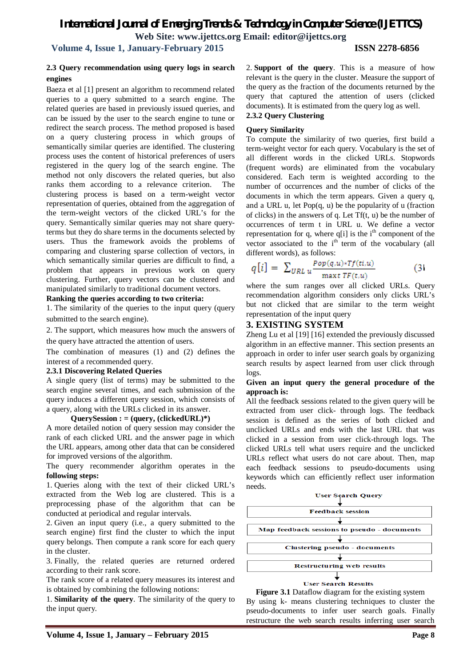**Volume 4, Issue 1, January-February 2015 ISSN 2278-6856**

#### **2.3 Query recommendation using query logs in search engines**

Baeza et al [1] present an algorithm to recommend related queries to a query submitted to a search engine. The related queries are based in previously issued queries, and can be issued by the user to the search engine to tune or redirect the search process. The method proposed is based on a query clustering process in which groups of semantically similar queries are identified. The clustering process uses the content of historical preferences of users registered in the query log of the search engine. The method not only discovers the related queries, but also ranks them according to a relevance criterion. The clustering process is based on a term-weight vector representation of queries, obtained from the aggregation of the term-weight vectors of the clicked URL's for the query. Semantically similar queries may not share queryterms but they do share terms in the documents selected by users. Thus the framework avoids the problems of comparing and clustering sparse collection of vectors, in which semantically similar queries are difficult to find, a problem that appears in previous work on query clustering. Further, query vectors can be clustered and manipulated similarly to traditional document vectors.

#### **Ranking the queries according to two criteria:**

1. The similarity of the queries to the input query (query submitted to the search engine).

2. The support, which measures how much the answers of the query have attracted the attention of users.

The combination of measures (1) and (2) defines the interest of a recommended query.

#### **2.3.1 Discovering Related Queries**

A single query (list of terms) may be submitted to the search engine several times, and each submission of the query induces a different query session, which consists of a query, along with the URLs clicked in its answer.

#### **QuerySession : = (query, (clickedURL)\*)**

A more detailed notion of query session may consider the rank of each clicked URL and the answer page in which the URL appears, among other data that can be considered for improved versions of the algorithm.

The query recommender algorithm operates in the **following steps:**

1. Queries along with the text of their clicked URL's extracted from the Web log are clustered. This is a preprocessing phase of the algorithm that can be conducted at periodical and regular intervals.

2. Given an input query (i.e., a query submitted to the search engine) first find the cluster to which the input query belongs. Then compute a rank score for each query in the cluster.

3. Finally, the related queries are returned ordered according to their rank score.

The rank score of a related query measures its interest and is obtained by combining the following notions:

1. **Similarity of the query**. The similarity of the query to the input query.

2. **Support of the query**. This is a measure of how relevant is the query in the cluster. Measure the support of the query as the fraction of the documents returned by the query that captured the attention of users (clicked documents). It is estimated from the query log as well.

## **2.3.2 Query Clustering**

#### **Query Similarity**

To compute the similarity of two queries, first build a term-weight vector for each query. Vocabulary is the set of all different words in the clicked URLs. Stopwords (frequent words) are eliminated from the vocabulary considered. Each term is weighted according to the number of occurrences and the number of clicks of the documents in which the term appears. Given a query q, and a URL u, let  $Pop(q, u)$  be the popularity of u (fraction of clicks) in the answers of q. Let Tf(t, u) be the number of occurrences of term t in URL u. We define a vector representation for q, where  $q[i]$  is the  $i<sup>th</sup>$  component of the vector associated to the i<sup>th</sup> term of the vocabulary (all different words), as follows:

$$
q[i] = \sum_{URL \, u} \frac{Pop(q, u) * Tf(t, u)}{\max t \, TF(t, u)}
$$
 (3)

where the sum ranges over all clicked URLs. Query recommendation algorithm considers only clicks URL's but not clicked that are similar to the term weight representation of the input query

### **3. EXISTING SYSTEM**

Zheng Lu et al [19] [16] extended the previously discussed algorithm in an effective manner. This section presents an approach in order to infer user search goals by organizing search results by aspect learned from user click through logs.

#### **Given an input query the general procedure of the approach is:**

All the feedback sessions related to the given query will be extracted from user click- through logs. The feedback session is defined as the series of both clicked and unclicked URLs and ends with the last URL that was clicked in a session from user click-through logs. The clicked URLs tell what users require and the unclicked URLs reflect what users do not care about. Then, map each feedback sessions to pseudo-documents using keywords which can efficiently reflect user information needs.



**Figure 3.1** Dataflow diagram for the existing system By using k- means clustering techniques to cluster the pseudo-documents to infer user search goals. Finally restructure the web search results inferring user search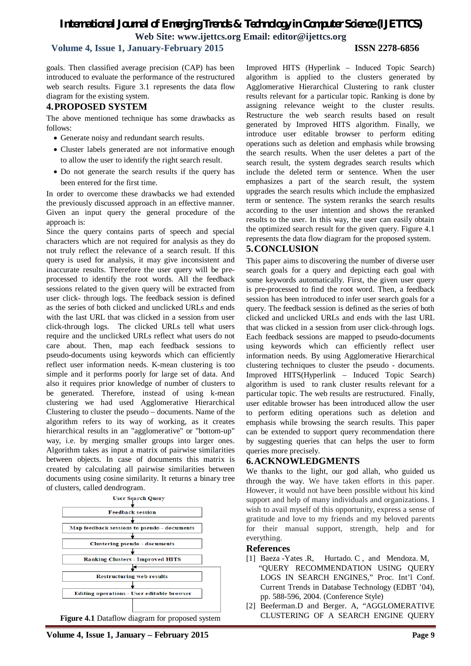### **Volume 4, Issue 1, January-February 2015 ISSN 2278-6856**

goals. Then classified average precision (CAP) has been introduced to evaluate the performance of the restructured web search results. Figure 3.1 represents the data flow diagram for the existing system.

#### **4.PROPOSED SYSTEM**

The above mentioned technique has some drawbacks as follows:

- Generate noisy and redundant search results.
- Cluster labels generated are not informative enough to allow the user to identify the right search result.
- Do not generate the search results if the query has been entered for the first time.

In order to overcome these drawbacks we had extended the previously discussed approach in an effective manner. Given an input query the general procedure of the approach is:

Since the query contains parts of speech and special characters which are not required for analysis as they do not truly reflect the relevance of a search result. If this query is used for analysis, it may give inconsistent and inaccurate results. Therefore the user query will be preprocessed to identify the root words. All the feedback sessions related to the given query will be extracted from user click- through logs. The feedback session is defined as the series of both clicked and unclicked URLs and ends with the last URL that was clicked in a session from user click-through logs. The clicked URLs tell what users require and the unclicked URLs reflect what users do not care about. Then, map each feedback sessions to pseudo-documents using keywords which can efficiently reflect user information needs. K-mean clustering is too simple and it performs poorly for large set of data. And also it requires prior knowledge of number of clusters to be generated. Therefore, instead of using k-mean clustering we had used Agglomerative Hierarchical Clustering to cluster the pseudo – documents. Name of the algorithm refers to its way of working, as it creates hierarchical results in an "agglomerative" or "bottom-up" way, i.e. by merging smaller groups into larger ones. Algorithm takes as input a matrix of pairwise similarities between objects. In case of documents this matrix is created by calculating all pairwise similarities between documents using cosine similarity. It returns a binary tree of clusters, called dendrogram.



**Figure 4.1** Dataflow diagram for proposed system

Improved HITS (Hyperlink – Induced Topic Search) algorithm is applied to the clusters generated by Agglomerative Hierarchical Clustering to rank cluster results relevant for a particular topic. Ranking is done by assigning relevance weight to the cluster results. Restructure the web search results based on result generated by Improved HITS algorithm. Finally, we introduce user editable browser to perform editing operations such as deletion and emphasis while browsing the search results. When the user deletes a part of the search result, the system degrades search results which include the deleted term or sentence. When the user emphasizes a part of the search result, the system upgrades the search results which include the emphasized term or sentence. The system reranks the search results according to the user intention and shows the reranked results to the user. In this way, the user can easily obtain the optimized search result for the given query. Figure 4.1 represents the data flow diagram for the proposed system.

### **5.CONCLUSION**

This paper aims to discovering the number of diverse user search goals for a query and depicting each goal with some keywords automatically. First, the given user query is pre-processed to find the root word. Then, a feedback session has been introduced to infer user search goals for a query. The feedback session is defined as the series of both clicked and unclicked URLs and ends with the last URL that was clicked in a session from user click-through logs. Each feedback sessions are mapped to pseudo-documents using keywords which can efficiently reflect user information needs. By using Agglomerative Hierarchical clustering techniques to cluster the pseudo - documents. Improved HITS(Hyperlink – Induced Topic Search) algorithm is used to rank cluster results relevant for a particular topic. The web results are restructured. Finally, user editable browser has been introduced allow the user to perform editing operations such as deletion and emphasis while browsing the search results. This paper can be extended to support query recommendation there by suggesting queries that can helps the user to form queries more precisely.

#### **6.ACKNOWLEDGMENTS**

We thanks to the light, our god allah, who guided us through the way. We have taken efforts in this paper. However, it would not have been possible without his kind support and help of many individuals and organizations. I wish to avail myself of this opportunity, express a sense of gratitude and love to my friends and my beloved parents for their manual support, strength, help and for everything.

#### **References**

- [1] Baeza Yates .R, Hurtado. C, and Mendoza. M, "QUERY RECOMMENDATION USING QUERY LOGS IN SEARCH ENGINES," Proc. Int'l Conf. Current Trends in Database Technology (EDBT '04), pp. 588-596, 2004. (Conference Style)
- [2] Beeferman.D and Berger. A, "AGGLOMERATIVE CLUSTERING OF A SEARCH ENGINE QUERY